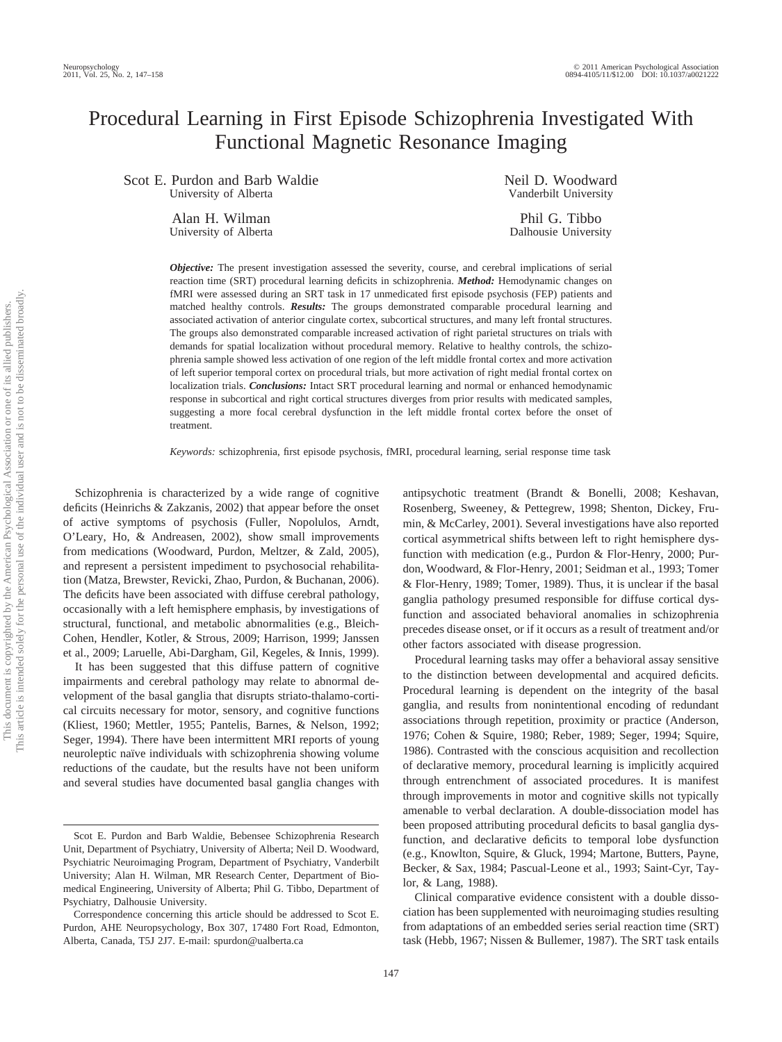# Procedural Learning in First Episode Schizophrenia Investigated With Functional Magnetic Resonance Imaging

Scot E. Purdon and Barb Waldie University of Alberta

> Alan H. Wilman University of Alberta

Neil D. Woodward Vanderbilt University

Phil G. Tibbo Dalhousie University

*Objective:* The present investigation assessed the severity, course, and cerebral implications of serial reaction time (SRT) procedural learning deficits in schizophrenia. *Method:* Hemodynamic changes on fMRI were assessed during an SRT task in 17 unmedicated first episode psychosis (FEP) patients and matched healthy controls. *Results:* The groups demonstrated comparable procedural learning and associated activation of anterior cingulate cortex, subcortical structures, and many left frontal structures. The groups also demonstrated comparable increased activation of right parietal structures on trials with demands for spatial localization without procedural memory. Relative to healthy controls, the schizophrenia sample showed less activation of one region of the left middle frontal cortex and more activation of left superior temporal cortex on procedural trials, but more activation of right medial frontal cortex on localization trials. *Conclusions:* Intact SRT procedural learning and normal or enhanced hemodynamic response in subcortical and right cortical structures diverges from prior results with medicated samples, suggesting a more focal cerebral dysfunction in the left middle frontal cortex before the onset of treatment.

*Keywords:* schizophrenia, first episode psychosis, fMRI, procedural learning, serial response time task

Schizophrenia is characterized by a wide range of cognitive deficits (Heinrichs & Zakzanis, 2002) that appear before the onset of active symptoms of psychosis (Fuller, Nopolulos, Arndt, O'Leary, Ho, & Andreasen, 2002), show small improvements from medications (Woodward, Purdon, Meltzer, & Zald, 2005), and represent a persistent impediment to psychosocial rehabilitation (Matza, Brewster, Revicki, Zhao, Purdon, & Buchanan, 2006). The deficits have been associated with diffuse cerebral pathology, occasionally with a left hemisphere emphasis, by investigations of structural, functional, and metabolic abnormalities (e.g., Bleich-Cohen, Hendler, Kotler, & Strous, 2009; Harrison, 1999; Janssen et al., 2009; Laruelle, Abi-Dargham, Gil, Kegeles, & Innis, 1999).

It has been suggested that this diffuse pattern of cognitive impairments and cerebral pathology may relate to abnormal development of the basal ganglia that disrupts striato-thalamo-cortical circuits necessary for motor, sensory, and cognitive functions (Kliest, 1960; Mettler, 1955; Pantelis, Barnes, & Nelson, 1992; Seger, 1994). There have been intermittent MRI reports of young neuroleptic naïve individuals with schizophrenia showing volume reductions of the caudate, but the results have not been uniform and several studies have documented basal ganglia changes with antipsychotic treatment (Brandt & Bonelli, 2008; Keshavan, Rosenberg, Sweeney, & Pettegrew, 1998; Shenton, Dickey, Frumin, & McCarley, 2001). Several investigations have also reported cortical asymmetrical shifts between left to right hemisphere dysfunction with medication (e.g., Purdon & Flor-Henry, 2000; Purdon, Woodward, & Flor-Henry, 2001; Seidman et al., 1993; Tomer & Flor-Henry, 1989; Tomer, 1989). Thus, it is unclear if the basal ganglia pathology presumed responsible for diffuse cortical dysfunction and associated behavioral anomalies in schizophrenia precedes disease onset, or if it occurs as a result of treatment and/or other factors associated with disease progression.

Procedural learning tasks may offer a behavioral assay sensitive to the distinction between developmental and acquired deficits. Procedural learning is dependent on the integrity of the basal ganglia, and results from nonintentional encoding of redundant associations through repetition, proximity or practice (Anderson, 1976; Cohen & Squire, 1980; Reber, 1989; Seger, 1994; Squire, 1986). Contrasted with the conscious acquisition and recollection of declarative memory, procedural learning is implicitly acquired through entrenchment of associated procedures. It is manifest through improvements in motor and cognitive skills not typically amenable to verbal declaration. A double-dissociation model has been proposed attributing procedural deficits to basal ganglia dysfunction, and declarative deficits to temporal lobe dysfunction (e.g., Knowlton, Squire, & Gluck, 1994; Martone, Butters, Payne, Becker, & Sax, 1984; Pascual-Leone et al., 1993; Saint-Cyr, Taylor, & Lang, 1988).

Clinical comparative evidence consistent with a double dissociation has been supplemented with neuroimaging studies resulting from adaptations of an embedded series serial reaction time (SRT) task (Hebb, 1967; Nissen & Bullemer, 1987). The SRT task entails

Scot E. Purdon and Barb Waldie, Bebensee Schizophrenia Research Unit, Department of Psychiatry, University of Alberta; Neil D. Woodward, Psychiatric Neuroimaging Program, Department of Psychiatry, Vanderbilt University; Alan H. Wilman, MR Research Center, Department of Biomedical Engineering, University of Alberta; Phil G. Tibbo, Department of Psychiatry, Dalhousie University.

Correspondence concerning this article should be addressed to Scot E. Purdon, AHE Neuropsychology, Box 307, 17480 Fort Road, Edmonton, Alberta, Canada, T5J 2J7. E-mail: spurdon@ualberta.ca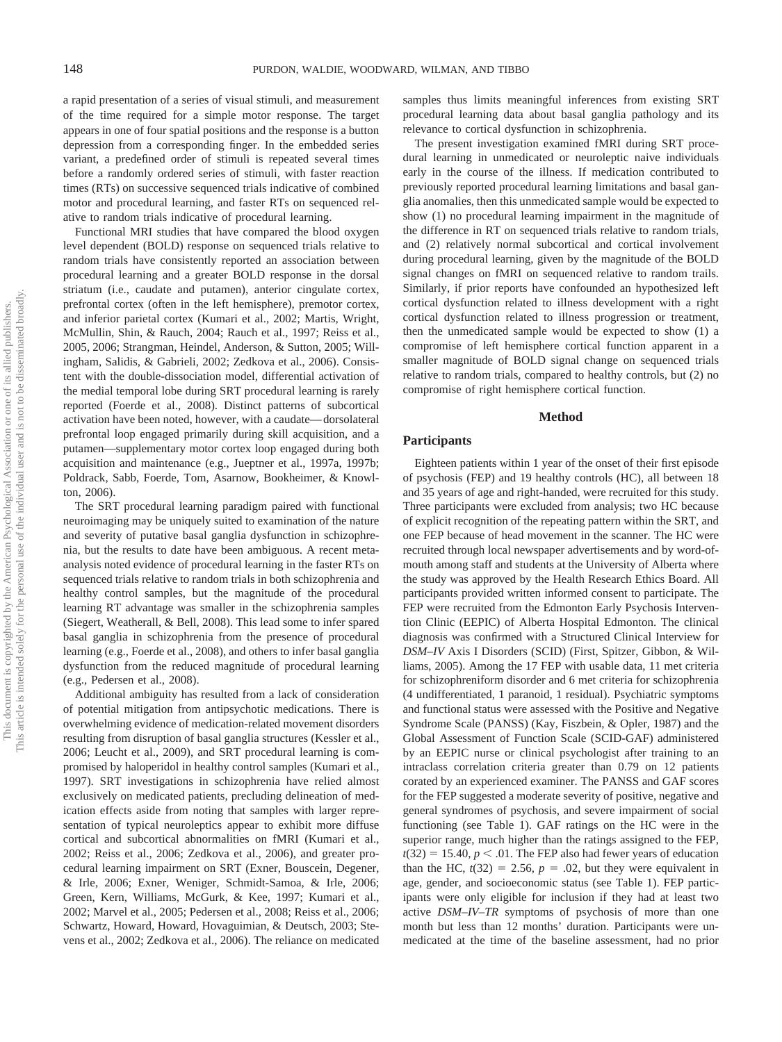a rapid presentation of a series of visual stimuli, and measurement of the time required for a simple motor response. The target appears in one of four spatial positions and the response is a button depression from a corresponding finger. In the embedded series variant, a predefined order of stimuli is repeated several times before a randomly ordered series of stimuli, with faster reaction times (RTs) on successive sequenced trials indicative of combined motor and procedural learning, and faster RTs on sequenced relative to random trials indicative of procedural learning.

Functional MRI studies that have compared the blood oxygen level dependent (BOLD) response on sequenced trials relative to random trials have consistently reported an association between procedural learning and a greater BOLD response in the dorsal striatum (i.e., caudate and putamen), anterior cingulate cortex, prefrontal cortex (often in the left hemisphere), premotor cortex, and inferior parietal cortex (Kumari et al., 2002; Martis, Wright, McMullin, Shin, & Rauch, 2004; Rauch et al., 1997; Reiss et al., 2005, 2006; Strangman, Heindel, Anderson, & Sutton, 2005; Willingham, Salidis, & Gabrieli, 2002; Zedkova et al., 2006). Consistent with the double-dissociation model, differential activation of the medial temporal lobe during SRT procedural learning is rarely reported (Foerde et al., 2008). Distinct patterns of subcortical activation have been noted, however, with a caudate— dorsolateral prefrontal loop engaged primarily during skill acquisition, and a putamen—supplementary motor cortex loop engaged during both acquisition and maintenance (e.g., Jueptner et al., 1997a, 1997b; Poldrack, Sabb, Foerde, Tom, Asarnow, Bookheimer, & Knowlton, 2006).

The SRT procedural learning paradigm paired with functional neuroimaging may be uniquely suited to examination of the nature and severity of putative basal ganglia dysfunction in schizophrenia, but the results to date have been ambiguous. A recent metaanalysis noted evidence of procedural learning in the faster RTs on sequenced trials relative to random trials in both schizophrenia and healthy control samples, but the magnitude of the procedural learning RT advantage was smaller in the schizophrenia samples (Siegert, Weatherall, & Bell, 2008). This lead some to infer spared basal ganglia in schizophrenia from the presence of procedural learning (e.g., Foerde et al., 2008), and others to infer basal ganglia dysfunction from the reduced magnitude of procedural learning (e.g., Pedersen et al., 2008).

Additional ambiguity has resulted from a lack of consideration of potential mitigation from antipsychotic medications. There is overwhelming evidence of medication-related movement disorders resulting from disruption of basal ganglia structures (Kessler et al., 2006; Leucht et al., 2009), and SRT procedural learning is compromised by haloperidol in healthy control samples (Kumari et al., 1997). SRT investigations in schizophrenia have relied almost exclusively on medicated patients, precluding delineation of medication effects aside from noting that samples with larger representation of typical neuroleptics appear to exhibit more diffuse cortical and subcortical abnormalities on fMRI (Kumari et al., 2002; Reiss et al., 2006; Zedkova et al., 2006), and greater procedural learning impairment on SRT (Exner, Bouscein, Degener, & Irle, 2006; Exner, Weniger, Schmidt-Samoa, & Irle, 2006; Green, Kern, Williams, McGurk, & Kee, 1997; Kumari et al., 2002; Marvel et al., 2005; Pedersen et al., 2008; Reiss et al., 2006; Schwartz, Howard, Howard, Hovaguimian, & Deutsch, 2003; Stevens et al., 2002; Zedkova et al., 2006). The reliance on medicated

samples thus limits meaningful inferences from existing SRT procedural learning data about basal ganglia pathology and its relevance to cortical dysfunction in schizophrenia.

The present investigation examined fMRI during SRT procedural learning in unmedicated or neuroleptic naive individuals early in the course of the illness. If medication contributed to previously reported procedural learning limitations and basal ganglia anomalies, then this unmedicated sample would be expected to show (1) no procedural learning impairment in the magnitude of the difference in RT on sequenced trials relative to random trials, and (2) relatively normal subcortical and cortical involvement during procedural learning, given by the magnitude of the BOLD signal changes on fMRI on sequenced relative to random trails. Similarly, if prior reports have confounded an hypothesized left cortical dysfunction related to illness development with a right cortical dysfunction related to illness progression or treatment, then the unmedicated sample would be expected to show (1) a compromise of left hemisphere cortical function apparent in a smaller magnitude of BOLD signal change on sequenced trials relative to random trials, compared to healthy controls, but (2) no compromise of right hemisphere cortical function.

#### **Method**

## **Participants**

Eighteen patients within 1 year of the onset of their first episode of psychosis (FEP) and 19 healthy controls (HC), all between 18 and 35 years of age and right-handed, were recruited for this study. Three participants were excluded from analysis; two HC because of explicit recognition of the repeating pattern within the SRT, and one FEP because of head movement in the scanner. The HC were recruited through local newspaper advertisements and by word-ofmouth among staff and students at the University of Alberta where the study was approved by the Health Research Ethics Board. All participants provided written informed consent to participate. The FEP were recruited from the Edmonton Early Psychosis Intervention Clinic (EEPIC) of Alberta Hospital Edmonton. The clinical diagnosis was confirmed with a Structured Clinical Interview for *DSM–IV* Axis I Disorders (SCID) (First, Spitzer, Gibbon, & Williams, 2005). Among the 17 FEP with usable data, 11 met criteria for schizophreniform disorder and 6 met criteria for schizophrenia (4 undifferentiated, 1 paranoid, 1 residual). Psychiatric symptoms and functional status were assessed with the Positive and Negative Syndrome Scale (PANSS) (Kay, Fiszbein, & Opler, 1987) and the Global Assessment of Function Scale (SCID-GAF) administered by an EEPIC nurse or clinical psychologist after training to an intraclass correlation criteria greater than 0.79 on 12 patients corated by an experienced examiner. The PANSS and GAF scores for the FEP suggested a moderate severity of positive, negative and general syndromes of psychosis, and severe impairment of social functioning (see Table 1). GAF ratings on the HC were in the superior range, much higher than the ratings assigned to the FEP,  $t(32) = 15.40, p < .01$ . The FEP also had fewer years of education than the HC,  $t(32) = 2.56$ ,  $p = .02$ , but they were equivalent in age, gender, and socioeconomic status (see Table 1). FEP participants were only eligible for inclusion if they had at least two active *DSM–IV–TR* symptoms of psychosis of more than one month but less than 12 months' duration. Participants were unmedicated at the time of the baseline assessment, had no prior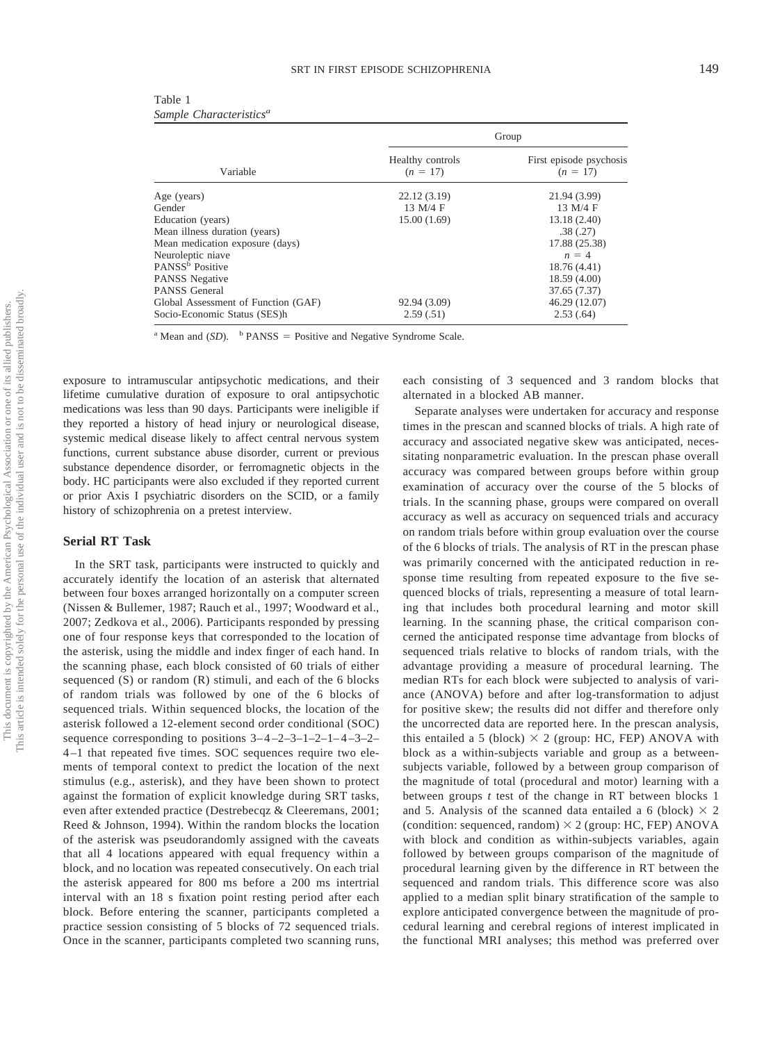| Table 1 |                                     |
|---------|-------------------------------------|
|         | Sample Characteristics <sup>a</sup> |

|                                     | Group                          |                                       |  |  |  |  |  |
|-------------------------------------|--------------------------------|---------------------------------------|--|--|--|--|--|
| Variable                            | Healthy controls<br>$(n = 17)$ | First episode psychosis<br>$(n = 17)$ |  |  |  |  |  |
| Age (years)                         | 22.12(3.19)                    | 21.94 (3.99)                          |  |  |  |  |  |
| Gender                              | 13 M/4 F                       | 13 M/4 F                              |  |  |  |  |  |
| Education (years)                   | 15.00(1.69)                    | 13.18 (2.40)                          |  |  |  |  |  |
| Mean illness duration (years)       |                                | .38(.27)                              |  |  |  |  |  |
| Mean medication exposure (days)     |                                | 17.88 (25.38)                         |  |  |  |  |  |
| Neuroleptic niave                   |                                | $n = 4$                               |  |  |  |  |  |
| PANSS <sup>b</sup> Positive         |                                | 18.76 (4.41)                          |  |  |  |  |  |
| PANSS Negative                      |                                | 18.59 (4.00)                          |  |  |  |  |  |
| PANSS General                       |                                | 37.65 (7.37)                          |  |  |  |  |  |
| Global Assessment of Function (GAF) | 92.94 (3.09)                   | 46.29 (12.07)                         |  |  |  |  |  |
| Socio-Economic Status (SES)h        | 2.59(.51)                      | 2.53(.64)                             |  |  |  |  |  |
|                                     |                                |                                       |  |  |  |  |  |

<sup>a</sup> Mean and  $(SD)$ . <sup>b</sup> PANSS = Positive and Negative Syndrome Scale.

exposure to intramuscular antipsychotic medications, and their lifetime cumulative duration of exposure to oral antipsychotic medications was less than 90 days. Participants were ineligible if they reported a history of head injury or neurological disease, systemic medical disease likely to affect central nervous system functions, current substance abuse disorder, current or previous substance dependence disorder, or ferromagnetic objects in the body. HC participants were also excluded if they reported current or prior Axis I psychiatric disorders on the SCID, or a family history of schizophrenia on a pretest interview.

#### **Serial RT Task**

In the SRT task, participants were instructed to quickly and accurately identify the location of an asterisk that alternated between four boxes arranged horizontally on a computer screen (Nissen & Bullemer, 1987; Rauch et al., 1997; Woodward et al., 2007; Zedkova et al., 2006). Participants responded by pressing one of four response keys that corresponded to the location of the asterisk, using the middle and index finger of each hand. In the scanning phase, each block consisted of 60 trials of either sequenced (S) or random (R) stimuli, and each of the 6 blocks of random trials was followed by one of the 6 blocks of sequenced trials. Within sequenced blocks, the location of the asterisk followed a 12-element second order conditional (SOC) sequence corresponding to positions  $3-4-2-3-1-2-1-4-3-2-$ 4 –1 that repeated five times. SOC sequences require two elements of temporal context to predict the location of the next stimulus (e.g., asterisk), and they have been shown to protect against the formation of explicit knowledge during SRT tasks, even after extended practice (Destrebecqz & Cleeremans, 2001; Reed & Johnson, 1994). Within the random blocks the location of the asterisk was pseudorandomly assigned with the caveats that all 4 locations appeared with equal frequency within a block, and no location was repeated consecutively. On each trial the asterisk appeared for 800 ms before a 200 ms intertrial interval with an 18 s fixation point resting period after each block. Before entering the scanner, participants completed a practice session consisting of 5 blocks of 72 sequenced trials. Once in the scanner, participants completed two scanning runs,

each consisting of 3 sequenced and 3 random blocks that alternated in a blocked AB manner.

Separate analyses were undertaken for accuracy and response times in the prescan and scanned blocks of trials. A high rate of accuracy and associated negative skew was anticipated, necessitating nonparametric evaluation. In the prescan phase overall accuracy was compared between groups before within group examination of accuracy over the course of the 5 blocks of trials. In the scanning phase, groups were compared on overall accuracy as well as accuracy on sequenced trials and accuracy on random trials before within group evaluation over the course of the 6 blocks of trials. The analysis of RT in the prescan phase was primarily concerned with the anticipated reduction in response time resulting from repeated exposure to the five sequenced blocks of trials, representing a measure of total learning that includes both procedural learning and motor skill learning. In the scanning phase, the critical comparison concerned the anticipated response time advantage from blocks of sequenced trials relative to blocks of random trials, with the advantage providing a measure of procedural learning. The median RTs for each block were subjected to analysis of variance (ANOVA) before and after log-transformation to adjust for positive skew; the results did not differ and therefore only the uncorrected data are reported here. In the prescan analysis, this entailed a 5 (block)  $\times$  2 (group: HC, FEP) ANOVA with block as a within-subjects variable and group as a betweensubjects variable, followed by a between group comparison of the magnitude of total (procedural and motor) learning with a between groups *t* test of the change in RT between blocks 1 and 5. Analysis of the scanned data entailed a 6 (block)  $\times$  2 (condition: sequenced, random)  $\times$  2 (group: HC, FEP) ANOVA with block and condition as within-subjects variables, again followed by between groups comparison of the magnitude of procedural learning given by the difference in RT between the sequenced and random trials. This difference score was also applied to a median split binary stratification of the sample to explore anticipated convergence between the magnitude of procedural learning and cerebral regions of interest implicated in the functional MRI analyses; this method was preferred over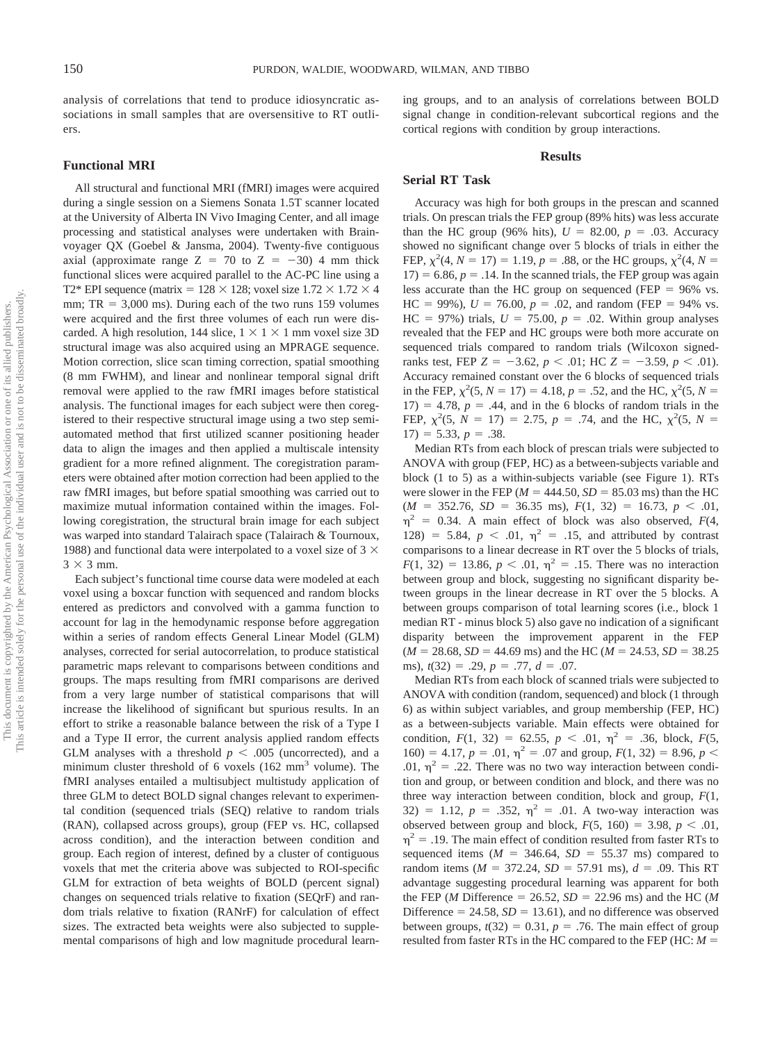analysis of correlations that tend to produce idiosyncratic associations in small samples that are oversensitive to RT outliers.

#### **Functional MRI**

All structural and functional MRI (fMRI) images were acquired during a single session on a Siemens Sonata 1.5T scanner located at the University of Alberta IN Vivo Imaging Center, and all image processing and statistical analyses were undertaken with Brainvoyager QX (Goebel & Jansma, 2004). Twenty-five contiguous axial (approximate range  $Z = 70$  to  $Z = -30$ ) 4 mm thick functional slices were acquired parallel to the AC-PC line using a T2\* EPI sequence (matrix =  $128 \times 128$ ; voxel size  $1.72 \times 1.72 \times 4$ mm;  $TR = 3,000$  ms). During each of the two runs 159 volumes were acquired and the first three volumes of each run were discarded. A high resolution, 144 slice,  $1 \times 1 \times 1$  mm voxel size 3D structural image was also acquired using an MPRAGE sequence. Motion correction, slice scan timing correction, spatial smoothing (8 mm FWHM), and linear and nonlinear temporal signal drift removal were applied to the raw fMRI images before statistical analysis. The functional images for each subject were then coregistered to their respective structural image using a two step semiautomated method that first utilized scanner positioning header data to align the images and then applied a multiscale intensity gradient for a more refined alignment. The coregistration parameters were obtained after motion correction had been applied to the raw fMRI images, but before spatial smoothing was carried out to maximize mutual information contained within the images. Following coregistration, the structural brain image for each subject was warped into standard Talairach space (Talairach & Tournoux, 1988) and functional data were interpolated to a voxel size of 3  $\times$  $3 \times 3$  mm.

Each subject's functional time course data were modeled at each voxel using a boxcar function with sequenced and random blocks entered as predictors and convolved with a gamma function to account for lag in the hemodynamic response before aggregation within a series of random effects General Linear Model (GLM) analyses, corrected for serial autocorrelation, to produce statistical parametric maps relevant to comparisons between conditions and groups. The maps resulting from fMRI comparisons are derived from a very large number of statistical comparisons that will increase the likelihood of significant but spurious results. In an effort to strike a reasonable balance between the risk of a Type I and a Type II error, the current analysis applied random effects GLM analyses with a threshold  $p < .005$  (uncorrected), and a minimum cluster threshold of 6 voxels  $(162 \text{ mm}^3 \text{ volume})$ . The fMRI analyses entailed a multisubject multistudy application of three GLM to detect BOLD signal changes relevant to experimental condition (sequenced trials (SEQ) relative to random trials (RAN), collapsed across groups), group (FEP vs. HC, collapsed across condition), and the interaction between condition and group. Each region of interest, defined by a cluster of contiguous voxels that met the criteria above was subjected to ROI-specific GLM for extraction of beta weights of BOLD (percent signal) changes on sequenced trials relative to fixation (SEQrF) and random trials relative to fixation (RANrF) for calculation of effect sizes. The extracted beta weights were also subjected to supplemental comparisons of high and low magnitude procedural learning groups, and to an analysis of correlations between BOLD signal change in condition-relevant subcortical regions and the cortical regions with condition by group interactions.

#### **Results**

#### **Serial RT Task**

Accuracy was high for both groups in the prescan and scanned trials. On prescan trials the FEP group (89% hits) was less accurate than the HC group (96% hits),  $U = 82.00$ ,  $p = .03$ . Accuracy showed no significant change over 5 blocks of trials in either the FEP,  $\chi^2(4, N = 17) = 1.19, p = .88$ , or the HC groups,  $\chi^2(4, N = 17)$  $17$ ) = 6.86,  $p = .14$ . In the scanned trials, the FEP group was again less accurate than the HC group on sequenced (FEP  $= 96\%$  vs.  $HC = 99\%$ ),  $U = 76.00$ ,  $p = .02$ , and random (FEP = 94% vs.  $HC = 97\%)$  trials,  $U = 75.00$ ,  $p = .02$ . Within group analyses revealed that the FEP and HC groups were both more accurate on sequenced trials compared to random trials (Wilcoxon signedranks test, FEP  $Z = -3.62$ ,  $p < .01$ ; HC  $Z = -3.59$ ,  $p < .01$ ). Accuracy remained constant over the 6 blocks of sequenced trials in the FEP,  $\chi^2(5, N = 17) = 4.18$ ,  $p = .52$ , and the HC,  $\chi^2(5, N = 17)$  $17) = 4.78$ ,  $p = .44$ , and in the 6 blocks of random trials in the FEP,  $\chi^2(5, N = 17) = 2.75, p = .74$ , and the HC,  $\chi^2(5, N =$  $17) = 5.33, p = .38.$ 

Median RTs from each block of prescan trials were subjected to ANOVA with group (FEP, HC) as a between-subjects variable and block (1 to 5) as a within-subjects variable (see Figure 1). RTs were slower in the FEP ( $M = 444.50$ ,  $SD = 85.03$  ms) than the HC  $(M = 352.76, SD = 36.35 \text{ ms}), F(1, 32) = 16.73, p < .01,$  $\eta^2$  = 0.34. A main effect of block was also observed,  $F(4, 1)$ 128) = 5.84,  $p < .01$ ,  $\eta^2 = .15$ , and attributed by contrast comparisons to a linear decrease in RT over the 5 blocks of trials,  $F(1, 32) = 13.86, p < .01, \eta^2 = .15$ . There was no interaction between group and block, suggesting no significant disparity between groups in the linear decrease in RT over the 5 blocks. A between groups comparison of total learning scores (i.e., block 1 median RT - minus block 5) also gave no indication of a significant disparity between the improvement apparent in the FEP  $(M = 28.68, SD = 44.69 \text{ ms})$  and the HC  $(M = 24.53, SD = 38.25$ ms),  $t(32) = .29$ ,  $p = .77$ ,  $d = .07$ .

Median RTs from each block of scanned trials were subjected to ANOVA with condition (random, sequenced) and block (1 through 6) as within subject variables, and group membership (FEP, HC) as a between-subjects variable. Main effects were obtained for condition,  $F(1, 32) = 62.55$ ,  $p < .01$ ,  $\eta^2 = .36$ , block,  $F(5, 12)$  $160$ ) = 4.17,  $p = .01$ ,  $\eta^2 = .07$  and group,  $F(1, 32) = 8.96$ ,  $p <$ .01,  $\eta^2$  = .22. There was no two way interaction between condition and group, or between condition and block, and there was no three way interaction between condition, block and group, *F*(1, 32) = 1.12,  $p = .352$ ,  $\eta^2 = .01$ . A two-way interaction was observed between group and block,  $F(5, 160) = 3.98$ ,  $p < .01$ ,  $\eta^2$  = .19. The main effect of condition resulted from faster RTs to sequenced items  $(M = 346.64, SD = 55.37 \text{ ms})$  compared to random items ( $M = 372.24$ ,  $SD = 57.91$  ms),  $d = .09$ . This RT advantage suggesting procedural learning was apparent for both the FEP (*M* Difference = 26.52,  $SD = 22.96$  ms) and the HC (*M* Difference  $= 24.58$ ,  $SD = 13.61$ ), and no difference was observed between groups,  $t(32) = 0.31$ ,  $p = .76$ . The main effect of group resulted from faster RTs in the HC compared to the FEP (HC: *M*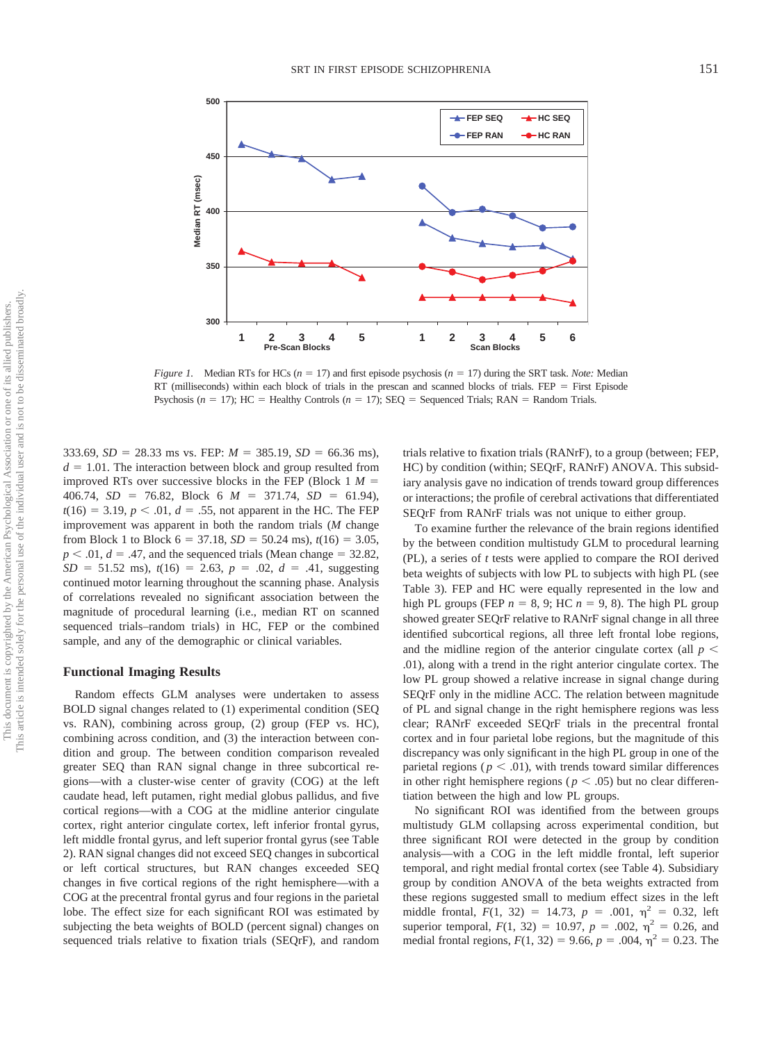

*Figure 1.* Median RTs for HCs  $(n = 17)$  and first episode psychosis  $(n = 17)$  during the SRT task. *Note:* Median RT (milliseconds) within each block of trials in the prescan and scanned blocks of trials.  $FEP = First$  Episode Psychosis ( $n = 17$ ); HC = Healthy Controls ( $n = 17$ ); SEQ = Sequenced Trials; RAN = Random Trials.

333.69,  $SD = 28.33$  ms vs. FEP:  $M = 385.19$ ,  $SD = 66.36$  ms),  $d = 1.01$ . The interaction between block and group resulted from improved RTs over successive blocks in the FEP (Block 1 *M*  $406.74$ ,  $SD = 76.82$ , Block 6  $M = 371.74$ ,  $SD = 61.94$ ),  $t(16) = 3.19, p < .01, d = .55$ , not apparent in the HC. The FEP improvement was apparent in both the random trials (*M* change from Block 1 to Block  $6 = 37.18$ ,  $SD = 50.24$  ms),  $t(16) = 3.05$ ,  $p < .01$ ,  $d = .47$ , and the sequenced trials (Mean change = 32.82,  $SD = 51.52$  ms),  $t(16) = 2.63$ ,  $p = .02$ ,  $d = .41$ , suggesting continued motor learning throughout the scanning phase. Analysis of correlations revealed no significant association between the magnitude of procedural learning (i.e., median RT on scanned sequenced trials–random trials) in HC, FEP or the combined sample, and any of the demographic or clinical variables.

#### **Functional Imaging Results**

Random effects GLM analyses were undertaken to assess BOLD signal changes related to (1) experimental condition (SEQ vs. RAN), combining across group, (2) group (FEP vs. HC), combining across condition, and (3) the interaction between condition and group. The between condition comparison revealed greater SEQ than RAN signal change in three subcortical regions—with a cluster-wise center of gravity (COG) at the left caudate head, left putamen, right medial globus pallidus, and five cortical regions—with a COG at the midline anterior cingulate cortex, right anterior cingulate cortex, left inferior frontal gyrus, left middle frontal gyrus, and left superior frontal gyrus (see Table 2). RAN signal changes did not exceed SEQ changes in subcortical or left cortical structures, but RAN changes exceeded SEQ changes in five cortical regions of the right hemisphere—with a COG at the precentral frontal gyrus and four regions in the parietal lobe. The effect size for each significant ROI was estimated by subjecting the beta weights of BOLD (percent signal) changes on sequenced trials relative to fixation trials (SEQrF), and random trials relative to fixation trials (RANrF), to a group (between; FEP, HC) by condition (within; SEQrF, RANrF) ANOVA. This subsidiary analysis gave no indication of trends toward group differences or interactions; the profile of cerebral activations that differentiated SEQrF from RANrF trials was not unique to either group.

To examine further the relevance of the brain regions identified by the between condition multistudy GLM to procedural learning (PL), a series of *t* tests were applied to compare the ROI derived beta weights of subjects with low PL to subjects with high PL (see Table 3). FEP and HC were equally represented in the low and high PL groups (FEP  $n = 8, 9$ ; HC  $n = 9, 8$ ). The high PL group showed greater SEQrF relative to RANrF signal change in all three identified subcortical regions, all three left frontal lobe regions, and the midline region of the anterior cingulate cortex (all  $p <$ .01), along with a trend in the right anterior cingulate cortex. The low PL group showed a relative increase in signal change during SEQrF only in the midline ACC. The relation between magnitude of PL and signal change in the right hemisphere regions was less clear; RANrF exceeded SEQrF trials in the precentral frontal cortex and in four parietal lobe regions, but the magnitude of this discrepancy was only significant in the high PL group in one of the parietal regions ( $p < .01$ ), with trends toward similar differences in other right hemisphere regions ( $p < .05$ ) but no clear differentiation between the high and low PL groups.

No significant ROI was identified from the between groups multistudy GLM collapsing across experimental condition, but three significant ROI were detected in the group by condition analysis—with a COG in the left middle frontal, left superior temporal, and right medial frontal cortex (see Table 4). Subsidiary group by condition ANOVA of the beta weights extracted from these regions suggested small to medium effect sizes in the left middle frontal,  $F(1, 32) = 14.73$ ,  $p = .001$ ,  $\eta^2 = 0.32$ , left superior temporal,  $F(1, 32) = 10.97$ ,  $p = .002$ ,  $\eta^2 = 0.26$ , and medial frontal regions,  $F(1, 32) = 9.66$ ,  $p = .004$ ,  $\eta^2 = 0.23$ . The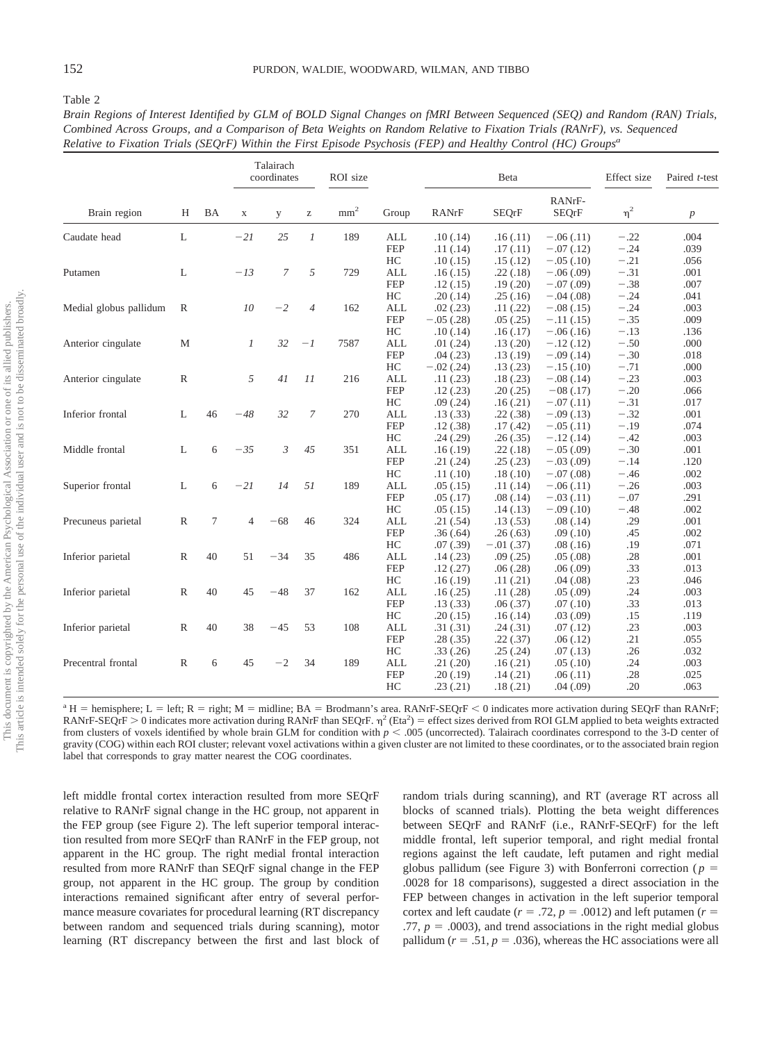Table 2

|                        |               |                |                | Talairach<br>coordinates |                                                       | ROI size        |                  |                       | Beta                 | Effect size                | Paired t-test    |                  |
|------------------------|---------------|----------------|----------------|--------------------------|-------------------------------------------------------|-----------------|------------------|-----------------------|----------------------|----------------------------|------------------|------------------|
| Brain region           | Н             | BA             | $\mathbf X$    | y                        | $\mathbf{Z}% ^{T}=\mathbf{Z}^{T}\times\mathbf{Z}^{T}$ | mm <sup>2</sup> | Group            | RANrF                 | <b>SEQrF</b>         | RANrF-<br><b>SEQrF</b>     | $\eta^2$         | $\boldsymbol{p}$ |
| Caudate head           | L             |                | $-21$          | 25                       | $\mathcal{I}$                                         | 189             | ALL              | .10(0.14)             | .16(.11)             | $-.06(.11)$                | $-.22$           | .004             |
|                        |               |                |                |                          |                                                       |                 | <b>FEP</b>       | .11(.14)              | .17(0.11)            | $-.07(.12)$                | $-.24$           | .039             |
|                        |               |                |                |                          |                                                       |                 | HC               | .10(0.15)             | .15(.12)             | $-.05(.10)$                | $-.21$           | .056             |
| Putamen                | L             |                | $-I3$          | 7                        | 5                                                     | 729             | <b>ALL</b>       | .16(.15)              | .22(.18)             | $-.06(.09)$                | $-.31$           | .001             |
|                        |               |                |                |                          |                                                       |                 | <b>FEP</b>       | .12(.15)              | .19(.20)             | $-.07(.09)$                | $-.38$           | .007             |
|                        |               |                | 10             |                          |                                                       |                 | HC               | .20(.14)              | .25(.16)             | $-.04(.08)$                | $-.24$           | .041             |
| Medial globus pallidum | R             |                |                | $-2$                     | $\overline{4}$                                        | 162             | <b>ALL</b>       | .02(.23)              | .11(.22)             | $-.08(.15)$                | $-.24$           | .003             |
|                        |               |                |                |                          |                                                       |                 | <b>FEP</b><br>HC | $-.05(.28)$           | .05(.25)             | $-.11(.15)$                | $-.35$           | .009             |
|                        | M             |                | $\mathcal{I}$  | 32                       | $-I$                                                  | 7587            | <b>ALL</b>       | .10(.14)              | .16(.17)<br>.13(.20) | $-.06(.16)$                | $-.13$<br>$-.50$ | .136<br>.000     |
| Anterior cingulate     |               |                |                |                          |                                                       |                 | <b>FEP</b>       | .01(0.24)<br>.04(.23) | .13(.19)             | $-.12(.12)$<br>$-.09(.14)$ | $-.30$           | .018             |
|                        |               |                |                |                          |                                                       |                 | HC               | $-.02(.24)$           | .13(.23)             | $-.15(.10)$                | $-.71$           | .000             |
| Anterior cingulate     | R             |                | 5              | 41                       | 11                                                    | 216             | <b>ALL</b>       |                       |                      | $-.08(.14)$                | $-.23$           | .003             |
|                        |               |                |                |                          |                                                       |                 | <b>FEP</b>       | .11(.23)<br>.12(.23)  | .18(.23)<br>.20(.25) | $-08(0.17)$                | $-.20$           | .066             |
|                        |               |                |                |                          |                                                       |                 | HC               | .09(.24)              | .16(.21)             | $-.07(.11)$                | $-.31$           | .017             |
| Inferior frontal       | L             | 46             | $-48$          | 32                       | $\boldsymbol{7}$                                      | 270             | <b>ALL</b>       | .13(.33)              | .22(.38)             | $-.09(.13)$                | $-.32$           | .001             |
|                        |               |                |                |                          |                                                       |                 | <b>FEP</b>       | .12(.38)              | .17(.42)             | $-.05(.11)$                | $-.19$           | .074             |
|                        |               |                |                |                          |                                                       |                 | HC               | .24(.29)              | .26(.35)             | $-.12(.14)$                | $-.42$           | .003             |
| Middle frontal         | L             | 6              | $-35$          | $\mathfrak{Z}$           | 45                                                    | 351             | <b>ALL</b>       | .16(.19)              | .22(.18)             | $-.05(.09)$                | $-.30$           | .001             |
|                        |               |                |                |                          |                                                       |                 | <b>FEP</b>       | .21(.24)              | .25(.23)             | $-.03(.09)$                | $-.14$           | .120             |
|                        |               |                |                |                          |                                                       |                 | HC               | .11(.10)              | .18(.10)             | $-.07(.08)$                | $-.46$           | .002             |
| Superior frontal       | L             | 6              | $-21$          | 14                       | 51                                                    | 189             | <b>ALL</b>       | .05(0.15)             | .11(.14)             | $-.06(.11)$                | $-.26$           | .003             |
|                        |               |                |                |                          |                                                       |                 | <b>FEP</b>       | .05(0.17)             | .08(.14)             | $-.03(.11)$                | $-.07$           | .291             |
|                        |               |                |                |                          |                                                       |                 | HC               | .05(0.15)             | .14(.13)             | $-.09(.10)$                | $-.48$           | .002             |
| Precuneus parietal     | $\mathbb{R}$  | $\overline{7}$ | $\overline{4}$ | $-68$                    | 46                                                    | 324             | <b>ALL</b>       | .21(.54)              | .13(.53)             | .08(.14)                   | .29              | .001             |
|                        |               |                |                |                          |                                                       |                 | <b>FEP</b>       | .36(.64)              | .26(.63)             | .09(.10)                   | .45              | .002             |
|                        |               |                |                |                          |                                                       |                 | HC               | .07(.39)              | $-.01(.37)$          | .08(.16)                   | .19              | .071             |
| Inferior parietal      | $\mathbb{R}$  | 40             | 51             | $-34$                    | 35                                                    | 486             | ALL              | .14(.23)              | .09(0.25)            | .05(.08)                   | .28              | .001             |
|                        |               |                |                |                          |                                                       |                 | <b>FEP</b>       | .12(.27)              | .06(.28)             | .06(.09)                   | .33              | .013             |
|                        |               |                |                |                          |                                                       |                 | HC               | .16(.19)              | .11(.21)             | .04(.08)                   | .23              | .046             |
| Inferior parietal      | $\mathbb{R}$  | 40             | 45             | $-48$                    | 37                                                    | 162             | <b>ALL</b>       | .16(.25)              | .11(.28)             | .05(.09)                   | .24              | .003             |
|                        |               |                |                |                          |                                                       |                 | <b>FEP</b>       | .13(.33)              | .06(.37)             | .07(0.10)                  | .33              | .013             |
|                        |               |                |                |                          |                                                       |                 | HC               | .20(.15)              | .16(.14)             | .03(.09)                   | .15              | .119             |
| Inferior parietal      | ${\mathbb R}$ | 40             | 38             | $-45$                    | 53                                                    | 108             | <b>ALL</b>       | .31(.31)              | .24(.31)             | .07(.12)                   | .23              | .003             |
|                        |               |                |                |                          |                                                       |                 | <b>FEP</b>       | .28(.35)              | .22(.37)             | .06(.12)                   | .21              | .055             |
|                        |               |                |                |                          |                                                       |                 | HC               | .33(.26)              | .25(.24)             | .07(0.13)                  | .26              | .032             |
| Precentral frontal     | $\mathbb{R}$  | 6              | 45             | $-2$                     | 34                                                    | 189             | <b>ALL</b>       | .21(.20)              | .16(.21)             | .05(.10)                   | .24              | .003             |
|                        |               |                |                |                          |                                                       |                 | <b>FEP</b>       | .20(.19)              | .14(.21)             | .06(0.11)                  | .28              | .025             |
|                        |               |                |                |                          |                                                       |                 | HC               | .23(.21)              | .18(.21)             | .04(.09)                   | .20              | .063             |
|                        |               |                |                |                          |                                                       |                 |                  |                       |                      |                            |                  |                  |

| Brain Regions of Interest Identified by GLM of BOLD Signal Changes on fMRI Between Sequenced (SEQ) and Random (RAN) Trials, |
|-----------------------------------------------------------------------------------------------------------------------------|
| Combined Across Groups, and a Comparison of Beta Weights on Random Relative to Fixation Trials (RANrF), vs. Sequenced       |
| Relative to Fixation Trials (SEQrF) Within the First Episode Psychosis (FEP) and Healthy Control (HC) Groups <sup>a</sup>   |

<sup>a</sup> H = hemisphere; L = left; R = right; M = midline; BA = Brodmann's area. RANrF-SEQrF < 0 indicates more activation during SEQrF than RANrF; RANrF-SEQrF > 0 indicates more activation during RANrF than SEQrF.  $\eta^2$  (Eta<sup>2</sup>) = effect sizes derived from ROI GLM applied to beta weights extracted from clusters of voxels identified by whole brain GLM for condition with  $p < .005$  (uncorrected). Talairach coordinates correspond to the 3-D center of gravity (COG) within each ROI cluster; relevant voxel activations within a given cluster are not limited to these coordinates, or to the associated brain region label that corresponds to gray matter nearest the COG coordinates.

left middle frontal cortex interaction resulted from more SEQrF relative to RANrF signal change in the HC group, not apparent in the FEP group (see Figure 2). The left superior temporal interaction resulted from more SEQrF than RANrF in the FEP group, not apparent in the HC group. The right medial frontal interaction resulted from more RANrF than SEQrF signal change in the FEP group, not apparent in the HC group. The group by condition interactions remained significant after entry of several performance measure covariates for procedural learning (RT discrepancy between random and sequenced trials during scanning), motor learning (RT discrepancy between the first and last block of

random trials during scanning), and RT (average RT across all blocks of scanned trials). Plotting the beta weight differences between SEQrF and RANrF (i.e., RANrF-SEQrF) for the left middle frontal, left superior temporal, and right medial frontal regions against the left caudate, left putamen and right medial globus pallidum (see Figure 3) with Bonferroni correction ( $p =$ .0028 for 18 comparisons), suggested a direct association in the FEP between changes in activation in the left superior temporal cortex and left caudate ( $r = .72$ ,  $p = .0012$ ) and left putamen ( $r =$ .77,  $p = .0003$ ), and trend associations in the right medial globus pallidum ( $r = .51$ ,  $p = .036$ ), whereas the HC associations were all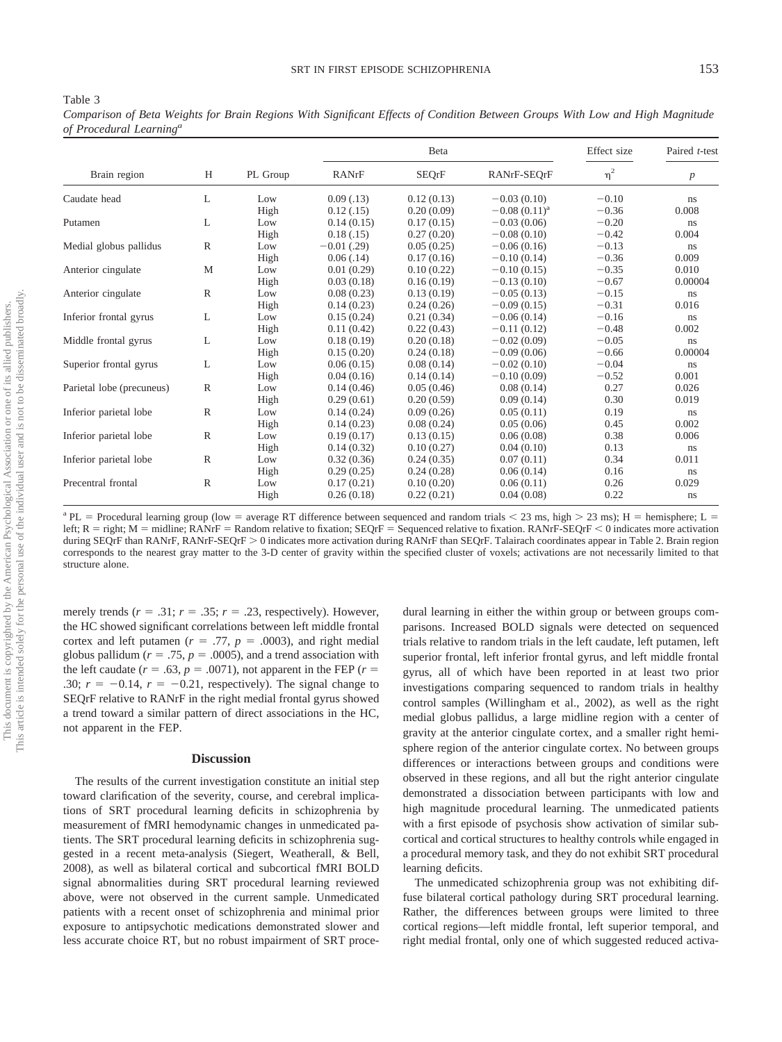Table 3 *Comparison of Beta Weights for Brain Regions With Significant Effects of Condition Between Groups With Low and High Magnitude of Procedural Learninga*

|                           |              |          |               | Beta         | Effect size       | Paired t-test |                  |
|---------------------------|--------------|----------|---------------|--------------|-------------------|---------------|------------------|
| Brain region              | H            | PL Group | RANrF         | <b>SEQrF</b> | RANrF-SEQrF       | $\eta^2$      | $\boldsymbol{p}$ |
| Caudate head              | L            | Low      | 0.09(0.13)    | 0.12(0.13)   | $-0.03(0.10)$     | $-0.10$       | ns               |
|                           |              | High     | 0.12(0.15)    | 0.20(0.09)   | $-0.08(0.11)^{a}$ | $-0.36$       | 0.008            |
| Putamen                   | L            | Low      | 0.14(0.15)    | 0.17(0.15)   | $-0.03(0.06)$     | $-0.20$       | ns               |
|                           |              | High     | 0.18(0.15)    | 0.27(0.20)   | $-0.08(0.10)$     | $-0.42$       | 0.004            |
| Medial globus pallidus    | $\mathbb R$  | Low      | $-0.01$ (.29) | 0.05(0.25)   | $-0.06(0.16)$     | $-0.13$       | ns               |
|                           |              | High     | 0.06(0.14)    | 0.17(0.16)   | $-0.10(0.14)$     | $-0.36$       | 0.009            |
| Anterior cingulate        | M            | Low      | 0.01(0.29)    | 0.10(0.22)   | $-0.10(0.15)$     | $-0.35$       | 0.010            |
|                           |              | High     | 0.03(0.18)    | 0.16(0.19)   | $-0.13(0.10)$     | $-0.67$       | 0.00004          |
| Anterior cingulate        | $\mathbb{R}$ | Low      | 0.08(0.23)    | 0.13(0.19)   | $-0.05(0.13)$     | $-0.15$       | ns               |
|                           |              | High     | 0.14(0.23)    | 0.24(0.26)   | $-0.09(0.15)$     | $-0.31$       | 0.016            |
| Inferior frontal gyrus    | L            | Low      | 0.15(0.24)    | 0.21(0.34)   | $-0.06(0.14)$     | $-0.16$       | ns               |
|                           |              | High     | 0.11(0.42)    | 0.22(0.43)   | $-0.11(0.12)$     | $-0.48$       | 0.002            |
| Middle frontal gyrus      | L            | Low      | 0.18(0.19)    | 0.20(0.18)   | $-0.02(0.09)$     | $-0.05$       | ns               |
|                           |              | High     | 0.15(0.20)    | 0.24(0.18)   | $-0.09(0.06)$     | $-0.66$       | 0.00004          |
| Superior frontal gyrus    | L            | Low      | 0.06(0.15)    | 0.08(0.14)   | $-0.02(0.10)$     | $-0.04$       | ns               |
|                           |              | High     | 0.04(0.16)    | 0.14(0.14)   | $-0.10(0.09)$     | $-0.52$       | 0.001            |
| Parietal lobe (precuneus) | $\mathbb R$  | Low      | 0.14(0.46)    | 0.05(0.46)   | 0.08(0.14)        | 0.27          | 0.026            |
|                           |              | High     | 0.29(0.61)    | 0.20(0.59)   | 0.09(0.14)        | 0.30          | 0.019            |
| Inferior parietal lobe    | $\mathbb{R}$ | Low      | 0.14(0.24)    | 0.09(0.26)   | 0.05(0.11)        | 0.19          | ns               |
|                           |              | High     | 0.14(0.23)    | 0.08(0.24)   | 0.05(0.06)        | 0.45          | 0.002            |
| Inferior parietal lobe    | $\mathbb{R}$ | Low      | 0.19(0.17)    | 0.13(0.15)   | 0.06(0.08)        | 0.38          | 0.006            |
|                           |              | High     | 0.14(0.32)    | 0.10(0.27)   | 0.04(0.10)        | 0.13          | ns               |
| Inferior parietal lobe    | $\mathbb{R}$ | Low      | 0.32(0.36)    | 0.24(0.35)   | 0.07(0.11)        | 0.34          | 0.011            |
|                           |              | High     | 0.29(0.25)    | 0.24(0.28)   | 0.06(0.14)        | 0.16          | ns               |
| Precentral frontal        | $\mathbb{R}$ | Low      | 0.17(0.21)    | 0.10(0.20)   | 0.06(0.11)        | 0.26          | 0.029            |
|                           |              | High     | 0.26(0.18)    | 0.22(0.21)   | 0.04(0.08)        | 0.22          | ns               |

<sup>a</sup> PL = Procedural learning group (low = average RT difference between sequenced and random trials < 23 ms, high > 23 ms); H = hemisphere; L = left;  $R = \text{right; } M = \text{middle; } R \text{ANrF} = \text{Random relative to fixation; } SEQrF = \text{Sequence relative to fixation. } R \text{ANrF-} SEQrF < 0 \text{ indicates more activation. } R \text{ANrF-} SEQrF \text{ is the same. } R \text{ is the same, } R \text{ is the same, } R \text{ is the same, } R \text{ is the same, } R \text{ is the same, } R \text{ is the same, } R \text{ is the same, } R \text{ is the same, } R \text{ is the same, } R \text{ is the same, } R \text{ is the same, } R \text{ is the same, } R \text{ is the same, } R \$ during SEQrF than RANrF, RANrF-SEQrF > 0 indicates more activation during RANrF than SEQrF. Talairach coordinates appear in Table 2. Brain region corresponds to the nearest gray matter to the 3-D center of gravity within the specified cluster of voxels; activations are not necessarily limited to that structure alone.

merely trends ( $r = .31$ ;  $r = .35$ ;  $r = .23$ , respectively). However, the HC showed significant correlations between left middle frontal cortex and left putamen  $(r = .77, p = .0003)$ , and right medial globus pallidum ( $r = .75$ ,  $p = .0005$ ), and a trend association with the left caudate  $(r = .63, p = .0071)$ , not apparent in the FEP  $(r = .0071)$ .30;  $r = -0.14$ ,  $r = -0.21$ , respectively). The signal change to SEQrF relative to RANrF in the right medial frontal gyrus showed a trend toward a similar pattern of direct associations in the HC, not apparent in the FEP.

### **Discussion**

The results of the current investigation constitute an initial step toward clarification of the severity, course, and cerebral implications of SRT procedural learning deficits in schizophrenia by measurement of fMRI hemodynamic changes in unmedicated patients. The SRT procedural learning deficits in schizophrenia suggested in a recent meta-analysis (Siegert, Weatherall, & Bell, 2008), as well as bilateral cortical and subcortical fMRI BOLD signal abnormalities during SRT procedural learning reviewed above, were not observed in the current sample. Unmedicated patients with a recent onset of schizophrenia and minimal prior exposure to antipsychotic medications demonstrated slower and less accurate choice RT, but no robust impairment of SRT procedural learning in either the within group or between groups comparisons. Increased BOLD signals were detected on sequenced trials relative to random trials in the left caudate, left putamen, left superior frontal, left inferior frontal gyrus, and left middle frontal gyrus, all of which have been reported in at least two prior investigations comparing sequenced to random trials in healthy control samples (Willingham et al., 2002), as well as the right medial globus pallidus, a large midline region with a center of gravity at the anterior cingulate cortex, and a smaller right hemisphere region of the anterior cingulate cortex. No between groups differences or interactions between groups and conditions were observed in these regions, and all but the right anterior cingulate demonstrated a dissociation between participants with low and high magnitude procedural learning. The unmedicated patients with a first episode of psychosis show activation of similar subcortical and cortical structures to healthy controls while engaged in a procedural memory task, and they do not exhibit SRT procedural learning deficits.

The unmedicated schizophrenia group was not exhibiting diffuse bilateral cortical pathology during SRT procedural learning. Rather, the differences between groups were limited to three cortical regions—left middle frontal, left superior temporal, and right medial frontal, only one of which suggested reduced activa-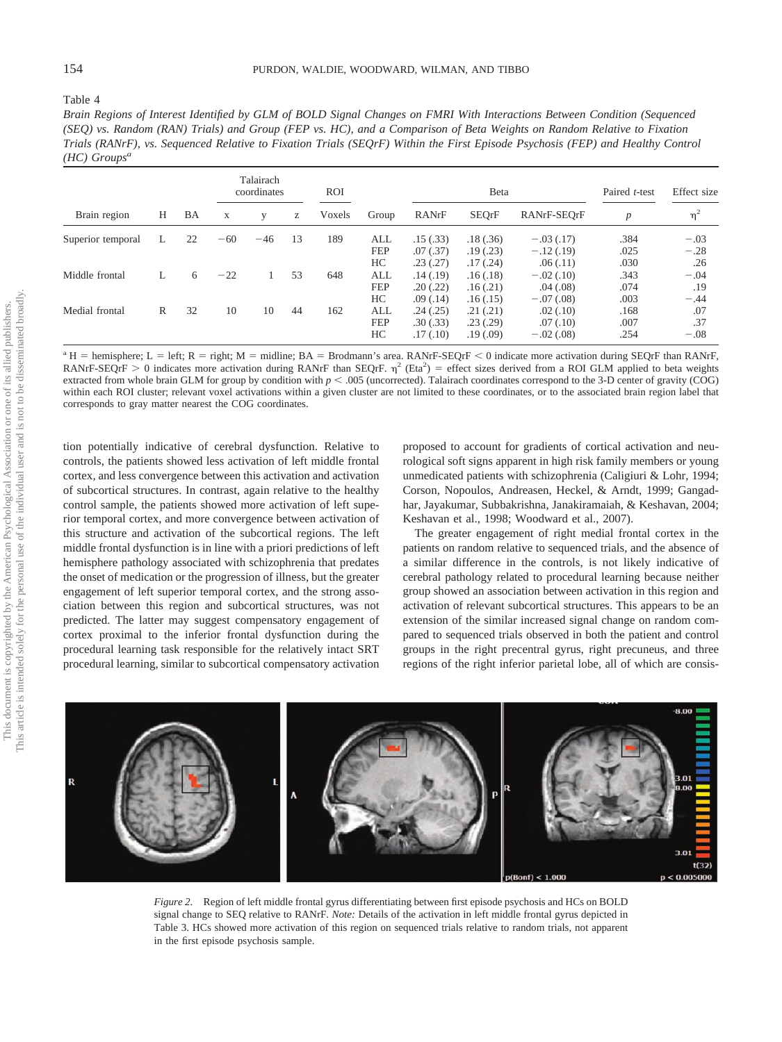#### Table 4

*Brain Regions of Interest Identified by GLM of BOLD Signal Changes on FMRI With Interactions Between Condition (Sequenced (SEQ) vs. Random (RAN) Trials) and Group (FEP vs. HC), and a Comparison of Beta Weights on Random Relative to Fixation Trials (RANrF), vs. Sequenced Relative to Fixation Trials (SEQrF) Within the First Episode Psychosis (FEP) and Healthy Control (HC) Groupsa*

|                   |   |    |              | Talairach<br>coordinates |    | <b>ROI</b> |                               | Beta                                           |                                                |                                                      | Paired t-test                | Effect size                    |
|-------------------|---|----|--------------|--------------------------|----|------------|-------------------------------|------------------------------------------------|------------------------------------------------|------------------------------------------------------|------------------------------|--------------------------------|
| Brain region      | H | BA | $\mathbf{X}$ | V                        | Z  | Voxels     | Group                         | RANrF                                          | <b>SEQrF</b>                                   | RANrF-SEQrF                                          | $\boldsymbol{p}$             | $\eta^2$                       |
| Superior temporal | L | 22 | $-60$        | $-46$                    | 13 | 189        | ALL<br><b>FEP</b><br>HС       | .15(.33)<br>.07(.37)<br>.23(.27)               | .18(.36)<br>.19(0.23)                          | $-.03(.17)$<br>$-.12(.19)$                           | .384<br>.025<br>.030         | $-.03$<br>$-.28$<br>.26        |
| Middle frontal    | L | 6  | $-22$        |                          | 53 | 648        | ALL<br><b>FEP</b>             | .14(.19)<br>.20(.22)                           | .17(0.24)<br>.16(0.18)<br>.16(.21)             | .06(0.11)<br>$-.02(.10)$<br>.04(0.08)                | .343<br>.074                 | $-.04$<br>.19                  |
| Medial frontal    | R | 32 | 10           | 10                       | 44 | 162        | HC<br>ALL<br><b>FEP</b><br>HC | .09(0.14)<br>.24(.25)<br>.30(.33)<br>.17(0.10) | .16(0.15)<br>.21(.21)<br>.23(.29)<br>.19(0.09) | $-.07(.08)$<br>.02(0.10)<br>.07(0.10)<br>$-.02(.08)$ | .003<br>.168<br>.007<br>.254 | $-.44$<br>.07<br>.37<br>$-.08$ |

<sup>a</sup> H = hemisphere; L = left; R = right; M = midline; BA = Brodmann's area. RANrF-SEQrF < 0 indicate more activation during SEQrF than RANrF, RANrF-SEQrF > 0 indicates more activation during RANrF than SEQrF.  $\eta^2$  (Eta<sup>2</sup>) = effect sizes derived from a ROI GLM applied to beta weights extracted from whole brain GLM for group by condition with  $p < .005$  (uncorrected). Talairach coordinates correspond to the 3-D center of gravity (COG) within each ROI cluster; relevant voxel activations within a given cluster are not limited to these coordinates, or to the associated brain region label that corresponds to gray matter nearest the COG coordinates.

tion potentially indicative of cerebral dysfunction. Relative to controls, the patients showed less activation of left middle frontal cortex, and less convergence between this activation and activation of subcortical structures. In contrast, again relative to the healthy control sample, the patients showed more activation of left superior temporal cortex, and more convergence between activation of this structure and activation of the subcortical regions. The left middle frontal dysfunction is in line with a priori predictions of left hemisphere pathology associated with schizophrenia that predates the onset of medication or the progression of illness, but the greater engagement of left superior temporal cortex, and the strong association between this region and subcortical structures, was not predicted. The latter may suggest compensatory engagement of cortex proximal to the inferior frontal dysfunction during the procedural learning task responsible for the relatively intact SRT procedural learning, similar to subcortical compensatory activation proposed to account for gradients of cortical activation and neurological soft signs apparent in high risk family members or young unmedicated patients with schizophrenia (Caligiuri & Lohr, 1994; Corson, Nopoulos, Andreasen, Heckel, & Arndt, 1999; Gangadhar, Jayakumar, Subbakrishna, Janakiramaiah, & Keshavan, 2004; Keshavan et al., 1998; Woodward et al., 2007).

The greater engagement of right medial frontal cortex in the patients on random relative to sequenced trials, and the absence of a similar difference in the controls, is not likely indicative of cerebral pathology related to procedural learning because neither group showed an association between activation in this region and activation of relevant subcortical structures. This appears to be an extension of the similar increased signal change on random compared to sequenced trials observed in both the patient and control groups in the right precentral gyrus, right precuneus, and three regions of the right inferior parietal lobe, all of which are consis-



*Figure 2.* Region of left middle frontal gyrus differentiating between first episode psychosis and HCs on BOLD signal change to SEQ relative to RANrF. *Note:* Details of the activation in left middle frontal gyrus depicted in Table 3. HCs showed more activation of this region on sequenced trials relative to random trials, not apparent in the first episode psychosis sample.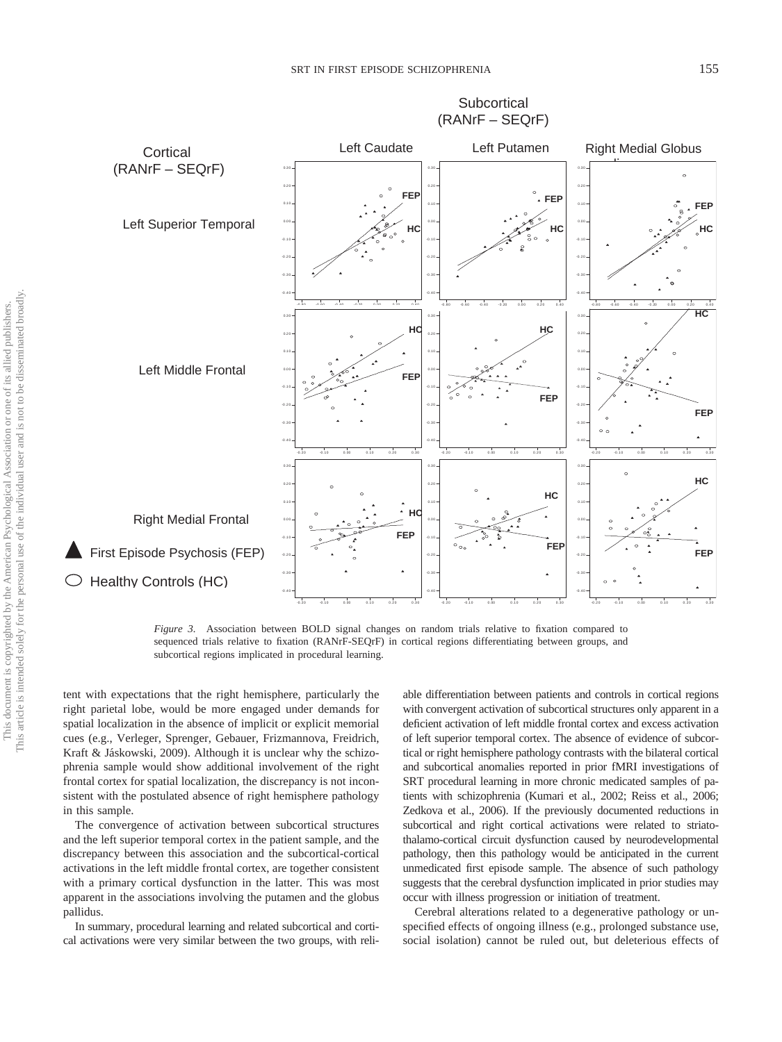**Subcortical** 



*Figure 3.* Association between BOLD signal changes on random trials relative to fixation compared to sequenced trials relative to fixation (RANrF-SEQrF) in cortical regions differentiating between groups, and subcortical regions implicated in procedural learning.

tent with expectations that the right hemisphere, particularly the right parietal lobe, would be more engaged under demands for spatial localization in the absence of implicit or explicit memorial cues (e.g., Verleger, Sprenger, Gebauer, Frizmannova, Freidrich, Kraft & Jáskowski, 2009). Although it is unclear why the schizophrenia sample would show additional involvement of the right frontal cortex for spatial localization, the discrepancy is not inconsistent with the postulated absence of right hemisphere pathology in this sample.

The convergence of activation between subcortical structures and the left superior temporal cortex in the patient sample, and the discrepancy between this association and the subcortical-cortical activations in the left middle frontal cortex, are together consistent with a primary cortical dysfunction in the latter. This was most apparent in the associations involving the putamen and the globus pallidus.

In summary, procedural learning and related subcortical and cortical activations were very similar between the two groups, with reliable differentiation between patients and controls in cortical regions with convergent activation of subcortical structures only apparent in a deficient activation of left middle frontal cortex and excess activation of left superior temporal cortex. The absence of evidence of subcortical or right hemisphere pathology contrasts with the bilateral cortical and subcortical anomalies reported in prior fMRI investigations of SRT procedural learning in more chronic medicated samples of patients with schizophrenia (Kumari et al., 2002; Reiss et al., 2006; Zedkova et al., 2006). If the previously documented reductions in subcortical and right cortical activations were related to striatothalamo-cortical circuit dysfunction caused by neurodevelopmental pathology, then this pathology would be anticipated in the current unmedicated first episode sample. The absence of such pathology suggests that the cerebral dysfunction implicated in prior studies may occur with illness progression or initiation of treatment.

Cerebral alterations related to a degenerative pathology or unspecified effects of ongoing illness (e.g., prolonged substance use, social isolation) cannot be ruled out, but deleterious effects of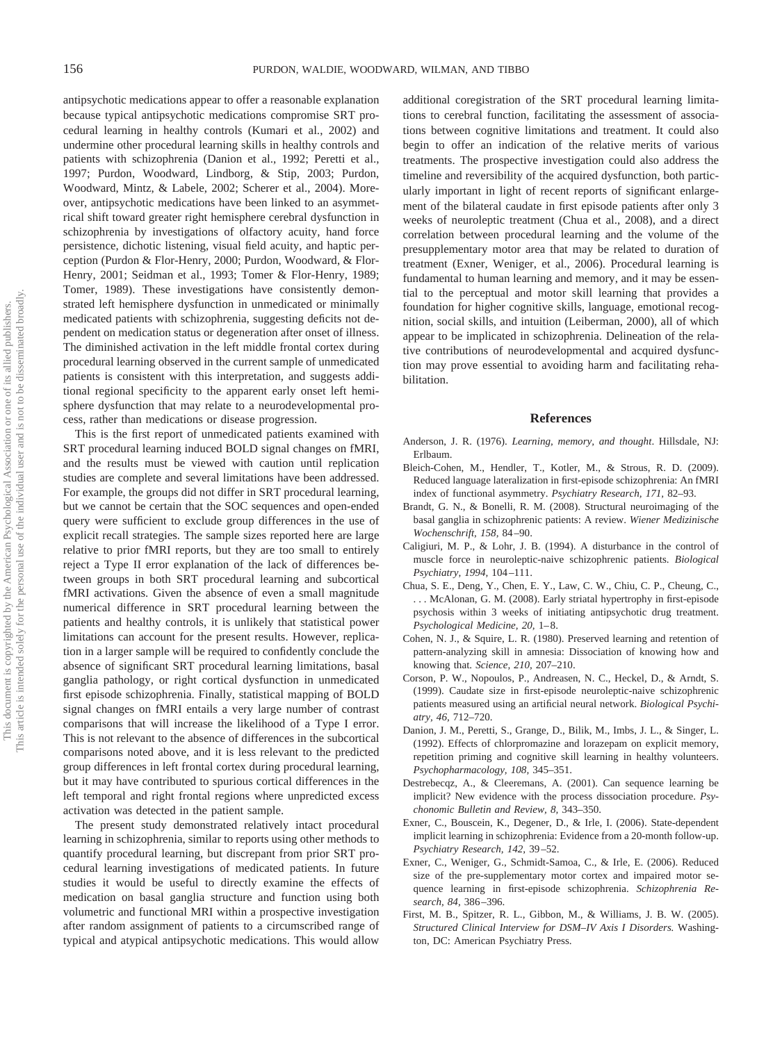antipsychotic medications appear to offer a reasonable explanation because typical antipsychotic medications compromise SRT procedural learning in healthy controls (Kumari et al., 2002) and undermine other procedural learning skills in healthy controls and patients with schizophrenia (Danion et al., 1992; Peretti et al., 1997; Purdon, Woodward, Lindborg, & Stip, 2003; Purdon, Woodward, Mintz, & Labele, 2002; Scherer et al., 2004). Moreover, antipsychotic medications have been linked to an asymmetrical shift toward greater right hemisphere cerebral dysfunction in schizophrenia by investigations of olfactory acuity, hand force persistence, dichotic listening, visual field acuity, and haptic perception (Purdon & Flor-Henry, 2000; Purdon, Woodward, & Flor-Henry, 2001; Seidman et al., 1993; Tomer & Flor-Henry, 1989; Tomer, 1989). These investigations have consistently demonstrated left hemisphere dysfunction in unmedicated or minimally medicated patients with schizophrenia, suggesting deficits not dependent on medication status or degeneration after onset of illness. The diminished activation in the left middle frontal cortex during procedural learning observed in the current sample of unmedicated patients is consistent with this interpretation, and suggests additional regional specificity to the apparent early onset left hemisphere dysfunction that may relate to a neurodevelopmental process, rather than medications or disease progression.

This is the first report of unmedicated patients examined with SRT procedural learning induced BOLD signal changes on fMRI, and the results must be viewed with caution until replication studies are complete and several limitations have been addressed. For example, the groups did not differ in SRT procedural learning, but we cannot be certain that the SOC sequences and open-ended query were sufficient to exclude group differences in the use of explicit recall strategies. The sample sizes reported here are large relative to prior fMRI reports, but they are too small to entirely reject a Type II error explanation of the lack of differences between groups in both SRT procedural learning and subcortical fMRI activations. Given the absence of even a small magnitude numerical difference in SRT procedural learning between the patients and healthy controls, it is unlikely that statistical power limitations can account for the present results. However, replication in a larger sample will be required to confidently conclude the absence of significant SRT procedural learning limitations, basal ganglia pathology, or right cortical dysfunction in unmedicated first episode schizophrenia. Finally, statistical mapping of BOLD signal changes on fMRI entails a very large number of contrast comparisons that will increase the likelihood of a Type I error. This is not relevant to the absence of differences in the subcortical comparisons noted above, and it is less relevant to the predicted group differences in left frontal cortex during procedural learning, but it may have contributed to spurious cortical differences in the left temporal and right frontal regions where unpredicted excess activation was detected in the patient sample.

The present study demonstrated relatively intact procedural learning in schizophrenia, similar to reports using other methods to quantify procedural learning, but discrepant from prior SRT procedural learning investigations of medicated patients. In future studies it would be useful to directly examine the effects of medication on basal ganglia structure and function using both volumetric and functional MRI within a prospective investigation after random assignment of patients to a circumscribed range of typical and atypical antipsychotic medications. This would allow

additional coregistration of the SRT procedural learning limitations to cerebral function, facilitating the assessment of associations between cognitive limitations and treatment. It could also begin to offer an indication of the relative merits of various treatments. The prospective investigation could also address the timeline and reversibility of the acquired dysfunction, both particularly important in light of recent reports of significant enlargement of the bilateral caudate in first episode patients after only 3 weeks of neuroleptic treatment (Chua et al., 2008), and a direct correlation between procedural learning and the volume of the presupplementary motor area that may be related to duration of treatment (Exner, Weniger, et al., 2006). Procedural learning is fundamental to human learning and memory, and it may be essential to the perceptual and motor skill learning that provides a foundation for higher cognitive skills, language, emotional recognition, social skills, and intuition (Leiberman, 2000), all of which appear to be implicated in schizophrenia. Delineation of the relative contributions of neurodevelopmental and acquired dysfunction may prove essential to avoiding harm and facilitating rehabilitation.

#### **References**

- Anderson, J. R. (1976). *Learning, memory, and thought*. Hillsdale, NJ: Erlbaum.
- Bleich-Cohen, M., Hendler, T., Kotler, M., & Strous, R. D. (2009). Reduced language lateralization in first-episode schizophrenia: An fMRI index of functional asymmetry. *Psychiatry Research, 171,* 82–93.
- Brandt, G. N., & Bonelli, R. M. (2008). Structural neuroimaging of the basal ganglia in schizophrenic patients: A review. *Wiener Medizinische Wochenschrift, 158,* 84 –90.
- Caligiuri, M. P., & Lohr, J. B. (1994). A disturbance in the control of muscle force in neuroleptic-naive schizophrenic patients. *Biological Psychiatry, 1994,* 104 –111.
- Chua, S. E., Deng, Y., Chen, E. Y., Law, C. W., Chiu, C. P., Cheung, C., . . . McAlonan, G. M. (2008). Early striatal hypertrophy in first-episode psychosis within 3 weeks of initiating antipsychotic drug treatment. *Psychological Medicine, 20,* 1– 8.
- Cohen, N. J., & Squire, L. R. (1980). Preserved learning and retention of pattern-analyzing skill in amnesia: Dissociation of knowing how and knowing that. *Science, 210,* 207–210.
- Corson, P. W., Nopoulos, P., Andreasen, N. C., Heckel, D., & Arndt, S. (1999). Caudate size in first-episode neuroleptic-naive schizophrenic patients measured using an artificial neural network. *Biological Psychiatry, 46,* 712–720.
- Danion, J. M., Peretti, S., Grange, D., Bilik, M., Imbs, J. L., & Singer, L. (1992). Effects of chlorpromazine and lorazepam on explicit memory, repetition priming and cognitive skill learning in healthy volunteers. *Psychopharmacology, 108,* 345–351.
- Destrebecqz, A., & Cleeremans, A. (2001). Can sequence learning be implicit? New evidence with the process dissociation procedure. *Psychonomic Bulletin and Review, 8,* 343–350.
- Exner, C., Bouscein, K., Degener, D., & Irle, I. (2006). State-dependent implicit learning in schizophrenia: Evidence from a 20-month follow-up. *Psychiatry Research, 142,* 39 –52.
- Exner, C., Weniger, G., Schmidt-Samoa, C., & Irle, E. (2006). Reduced size of the pre-supplementary motor cortex and impaired motor sequence learning in first-episode schizophrenia. *Schizophrenia Research, 84,* 386 –396.
- First, M. B., Spitzer, R. L., Gibbon, M., & Williams, J. B. W. (2005). *Structured Clinical Interview for DSM–IV Axis I Disorders.* Washington, DC: American Psychiatry Press.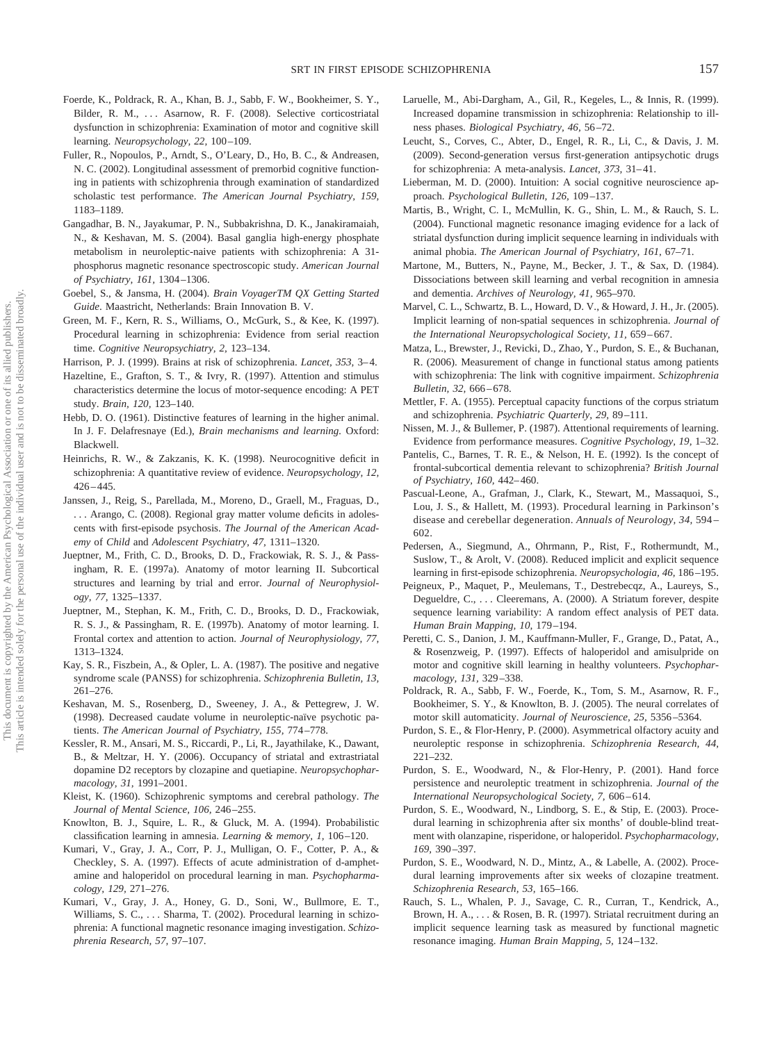- Foerde, K., Poldrack, R. A., Khan, B. J., Sabb, F. W., Bookheimer, S. Y., Bilder, R. M., ... Asarnow, R. F. (2008). Selective corticostriatal dysfunction in schizophrenia: Examination of motor and cognitive skill learning. *Neuropsychology, 22,* 100 –109.
- Fuller, R., Nopoulos, P., Arndt, S., O'Leary, D., Ho, B. C., & Andreasen, N. C. (2002). Longitudinal assessment of premorbid cognitive functioning in patients with schizophrenia through examination of standardized scholastic test performance. *The American Journal Psychiatry, 159,* 1183–1189.
- Gangadhar, B. N., Jayakumar, P. N., Subbakrishna, D. K., Janakiramaiah, N., & Keshavan, M. S. (2004). Basal ganglia high-energy phosphate metabolism in neuroleptic-naive patients with schizophrenia: A 31 phosphorus magnetic resonance spectroscopic study. *American Journal of Psychiatry, 161,* 1304 –1306.
- Goebel, S., & Jansma, H. (2004). *Brain VoyagerTM QX Getting Started Guide*. Maastricht, Netherlands: Brain Innovation B. V.
- Green, M. F., Kern, R. S., Williams, O., McGurk, S., & Kee, K. (1997). Procedural learning in schizophrenia: Evidence from serial reaction time. *Cognitive Neuropsychiatry, 2,* 123–134.
- Harrison, P. J. (1999). Brains at risk of schizophrenia. *Lancet, 353,* 3– 4.
- Hazeltine, E., Grafton, S. T., & Ivry, R. (1997). Attention and stimulus characteristics determine the locus of motor-sequence encoding: A PET study. *Brain, 120,* 123–140.
- Hebb, D. O. (1961). Distinctive features of learning in the higher animal. In J. F. Delafresnaye (Ed.), *Brain mechanisms and learning.* Oxford: Blackwell.
- Heinrichs, R. W., & Zakzanis, K. K. (1998). Neurocognitive deficit in schizophrenia: A quantitative review of evidence. *Neuropsychology, 12,*  $426 - 445.$
- Janssen, J., Reig, S., Parellada, M., Moreno, D., Graell, M., Fraguas, D., . . . Arango, C. (2008). Regional gray matter volume deficits in adolescents with first-episode psychosis. *The Journal of the American Academy* of *Child* and *Adolescent Psychiatry, 47,* 1311–1320.
- Jueptner, M., Frith, C. D., Brooks, D. D., Frackowiak, R. S. J., & Passingham, R. E. (1997a). Anatomy of motor learning II. Subcortical structures and learning by trial and error. *Journal of Neurophysiology, 77,* 1325–1337.
- Jueptner, M., Stephan, K. M., Frith, C. D., Brooks, D. D., Frackowiak, R. S. J., & Passingham, R. E. (1997b). Anatomy of motor learning. I. Frontal cortex and attention to action. *Journal of Neurophysiology, 77,* 1313–1324.
- Kay, S. R., Fiszbein, A., & Opler, L. A. (1987). The positive and negative syndrome scale (PANSS) for schizophrenia. *Schizophrenia Bulletin, 13,* 261–276.
- Keshavan, M. S., Rosenberg, D., Sweeney, J. A., & Pettegrew, J. W. (1998). Decreased caudate volume in neuroleptic-naïve psychotic patients. *The American Journal of Psychiatry, 155,* 774 –778.
- Kessler, R. M., Ansari, M. S., Riccardi, P., Li, R., Jayathilake, K., Dawant, B., & Meltzar, H. Y. (2006). Occupancy of striatal and extrastriatal dopamine D2 receptors by clozapine and quetiapine. *Neuropsychopharmacology, 31,* 1991–2001.
- Kleist, K. (1960). Schizophrenic symptoms and cerebral pathology. *The Journal of Mental Science, 106,* 246 –255.
- Knowlton, B. J., Squire, L. R., & Gluck, M. A. (1994). Probabilistic classification learning in amnesia. *Learning & memory, 1,* 106 –120.
- Kumari, V., Gray, J. A., Corr, P. J., Mulligan, O. F., Cotter, P. A., & Checkley, S. A. (1997). Effects of acute administration of d-amphetamine and haloperidol on procedural learning in man. *Psychopharmacology, 129,* 271–276.
- Kumari, V., Gray, J. A., Honey, G. D., Soni, W., Bullmore, E. T., Williams, S. C., ... Sharma, T. (2002). Procedural learning in schizophrenia: A functional magnetic resonance imaging investigation. *Schizophrenia Research, 57,* 97–107.
- Laruelle, M., Abi-Dargham, A., Gil, R., Kegeles, L., & Innis, R. (1999). Increased dopamine transmission in schizophrenia: Relationship to illness phases. *Biological Psychiatry, 46,* 56 –72.
- Leucht, S., Corves, C., Abter, D., Engel, R. R., Li, C., & Davis, J. M. (2009). Second-generation versus first-generation antipsychotic drugs for schizophrenia: A meta-analysis. *Lancet, 373, 31*-41.
- Lieberman, M. D. (2000). Intuition: A social cognitive neuroscience approach. *Psychological Bulletin, 126,* 109 –137.
- Martis, B., Wright, C. I., McMullin, K. G., Shin, L. M., & Rauch, S. L. (2004). Functional magnetic resonance imaging evidence for a lack of striatal dysfunction during implicit sequence learning in individuals with animal phobia. *The American Journal of Psychiatry, 161,* 67–71.
- Martone, M., Butters, N., Payne, M., Becker, J. T., & Sax, D. (1984). Dissociations between skill learning and verbal recognition in amnesia and dementia. *Archives of Neurology, 41,* 965–970.
- Marvel, C. L., Schwartz, B. L., Howard, D. V., & Howard, J. H., Jr. (2005). Implicit learning of non-spatial sequences in schizophrenia. *Journal of the International Neuropsychological Society, 11,* 659 – 667.
- Matza, L., Brewster, J., Revicki, D., Zhao, Y., Purdon, S. E., & Buchanan, R. (2006). Measurement of change in functional status among patients with schizophrenia: The link with cognitive impairment. *Schizophrenia Bulletin, 32,* 666 – 678.
- Mettler, F. A. (1955). Perceptual capacity functions of the corpus striatum and schizophrenia. *Psychiatric Quarterly, 29,* 89 –111.
- Nissen, M. J., & Bullemer, P. (1987). Attentional requirements of learning. Evidence from performance measures. *Cognitive Psychology, 19,* 1–32.
- Pantelis, C., Barnes, T. R. E., & Nelson, H. E. (1992). Is the concept of frontal-subcortical dementia relevant to schizophrenia? *British Journal of Psychiatry, 160,* 442– 460.
- Pascual-Leone, A., Grafman, J., Clark, K., Stewart, M., Massaquoi, S., Lou, J. S., & Hallett, M. (1993). Procedural learning in Parkinson's disease and cerebellar degeneration. *Annuals of Neurology, 34,* 594 – 602.
- Pedersen, A., Siegmund, A., Ohrmann, P., Rist, F., Rothermundt, M., Suslow, T., & Arolt, V. (2008). Reduced implicit and explicit sequence learning in first-episode schizophrenia. *Neuropsychologia, 46,* 186 –195.
- Peigneux, P., Maquet, P., Meulemans, T., Destrebecqz, A., Laureys, S., Degueldre, C., . . . Cleeremans, A. (2000). A Striatum forever, despite sequence learning variability: A random effect analysis of PET data. *Human Brain Mapping, 10,* 179 –194.
- Peretti, C. S., Danion, J. M., Kauffmann-Muller, F., Grange, D., Patat, A., & Rosenzweig, P. (1997). Effects of haloperidol and amisulpride on motor and cognitive skill learning in healthy volunteers. *Psychopharmacology, 131,* 329 –338.
- Poldrack, R. A., Sabb, F. W., Foerde, K., Tom, S. M., Asarnow, R. F., Bookheimer, S. Y., & Knowlton, B. J. (2005). The neural correlates of motor skill automaticity. *Journal of Neuroscience, 25,* 5356 –5364.
- Purdon, S. E., & Flor-Henry, P. (2000). Asymmetrical olfactory acuity and neuroleptic response in schizophrenia. *Schizophrenia Research, 44,* 221–232.
- Purdon, S. E., Woodward, N., & Flor-Henry, P. (2001). Hand force persistence and neuroleptic treatment in schizophrenia. *Journal of the International Neuropsychological Society, 7,* 606 – 614.
- Purdon, S. E., Woodward, N., Lindborg, S. E., & Stip, E. (2003). Procedural learning in schizophrenia after six months' of double-blind treatment with olanzapine, risperidone, or haloperidol. *Psychopharmacology, 169,* 390 –397.
- Purdon, S. E., Woodward, N. D., Mintz, A., & Labelle, A. (2002). Procedural learning improvements after six weeks of clozapine treatment. *Schizophrenia Research, 53,* 165–166.
- Rauch, S. L., Whalen, P. J., Savage, C. R., Curran, T., Kendrick, A., Brown, H. A., . . . & Rosen, B. R. (1997). Striatal recruitment during an implicit sequence learning task as measured by functional magnetic resonance imaging. *Human Brain Mapping, 5,* 124 –132.